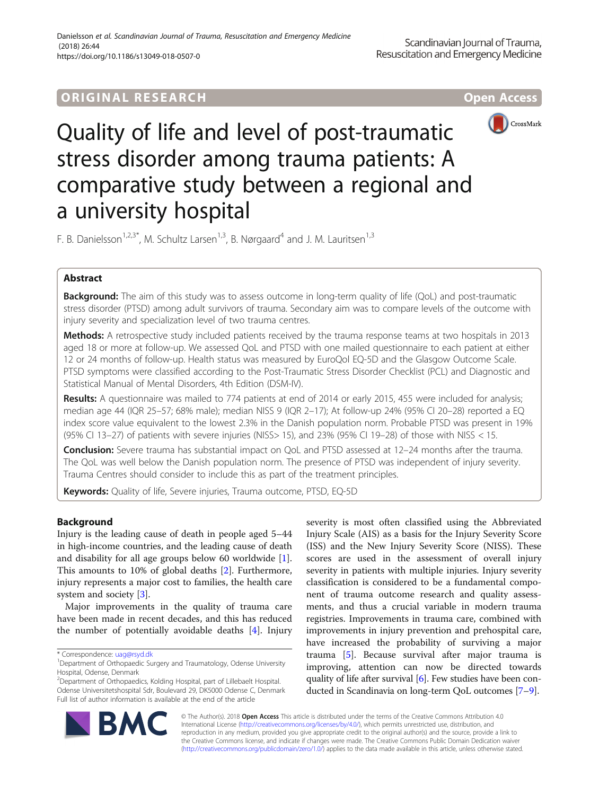# **ORIGINAL RESEARCH CONSUMING ACCESS**



Quality of life and level of post-traumatic stress disorder among trauma patients: A comparative study between a regional and a university hospital

F. B. Danielsson<sup>1,2,3\*</sup>, M. Schultz Larsen<sup>1,3</sup>, B. Nørgaard<sup>4</sup> and J. M. Lauritsen<sup>1,3</sup>

## Abstract

**Background:** The aim of this study was to assess outcome in long-term quality of life (QoL) and post-traumatic stress disorder (PTSD) among adult survivors of trauma. Secondary aim was to compare levels of the outcome with injury severity and specialization level of two trauma centres.

Methods: A retrospective study included patients received by the trauma response teams at two hospitals in 2013 aged 18 or more at follow-up. We assessed QoL and PTSD with one mailed questionnaire to each patient at either 12 or 24 months of follow-up. Health status was measured by EuroQol EQ-5D and the Glasgow Outcome Scale. PTSD symptoms were classified according to the Post-Traumatic Stress Disorder Checklist (PCL) and Diagnostic and Statistical Manual of Mental Disorders, 4th Edition (DSM-IV).

Results: A questionnaire was mailed to 774 patients at end of 2014 or early 2015, 455 were included for analysis; median age 44 (IQR 25–57; 68% male); median NISS 9 (IQR 2–17); At follow-up 24% (95% CI 20–28) reported a EQ index score value equivalent to the lowest 2.3% in the Danish population norm. Probable PTSD was present in 19% (95% CI 13–27) of patients with severe injuries (NISS> 15), and 23% (95% CI 19–28) of those with NISS < 15.

Conclusion: Severe trauma has substantial impact on QoL and PTSD assessed at 12-24 months after the trauma. The QoL was well below the Danish population norm. The presence of PTSD was independent of injury severity. Trauma Centres should consider to include this as part of the treatment principles.

Keywords: Quality of life, Severe injuries, Trauma outcome, PTSD, EQ-5D

## Background

Injury is the leading cause of death in people aged 5–44 in high-income countries, and the leading cause of death and disability for all age groups below 60 worldwide [\[1](#page-7-0)]. This amounts to 10% of global deaths [\[2](#page-7-0)]. Furthermore, injury represents a major cost to families, the health care system and society [\[3](#page-7-0)].

Major improvements in the quality of trauma care have been made in recent decades, and this has reduced the number of potentially avoidable deaths [[4\]](#page-7-0). Injury

<sup>2</sup> Department of Orthopaedics, Kolding Hospital, part of Lillebaelt Hospital. Odense Universitetshospital Sdr, Boulevard 29, DK5000 Odense C, Denmark Full list of author information is available at the end of the article

severity is most often classified using the Abbreviated Injury Scale (AIS) as a basis for the Injury Severity Score (ISS) and the New Injury Severity Score (NISS). These scores are used in the assessment of overall injury severity in patients with multiple injuries. Injury severity classification is considered to be a fundamental component of trauma outcome research and quality assessments, and thus a crucial variable in modern trauma registries. Improvements in trauma care, combined with improvements in injury prevention and prehospital care, have increased the probability of surviving a major trauma [\[5\]](#page-7-0). Because survival after major trauma is improving, attention can now be directed towards quality of life after survival [[6](#page-7-0)]. Few studies have been conducted in Scandinavia on long-term QoL outcomes [[7](#page-7-0)–[9](#page-7-0)].



© The Author(s). 2018 Open Access This article is distributed under the terms of the Creative Commons Attribution 4.0 International License [\(http://creativecommons.org/licenses/by/4.0/](http://creativecommons.org/licenses/by/4.0/)), which permits unrestricted use, distribution, and reproduction in any medium, provided you give appropriate credit to the original author(s) and the source, provide a link to the Creative Commons license, and indicate if changes were made. The Creative Commons Public Domain Dedication waiver [\(http://creativecommons.org/publicdomain/zero/1.0/](http://creativecommons.org/publicdomain/zero/1.0/)) applies to the data made available in this article, unless otherwise stated.

<sup>\*</sup> Correspondence: [uag@rsyd.dk](mailto:uag@rsyd.dk) <sup>1</sup>

<sup>&</sup>lt;sup>1</sup>Department of Orthopaedic Surgery and Traumatology, Odense University Hospital, Odense, Denmark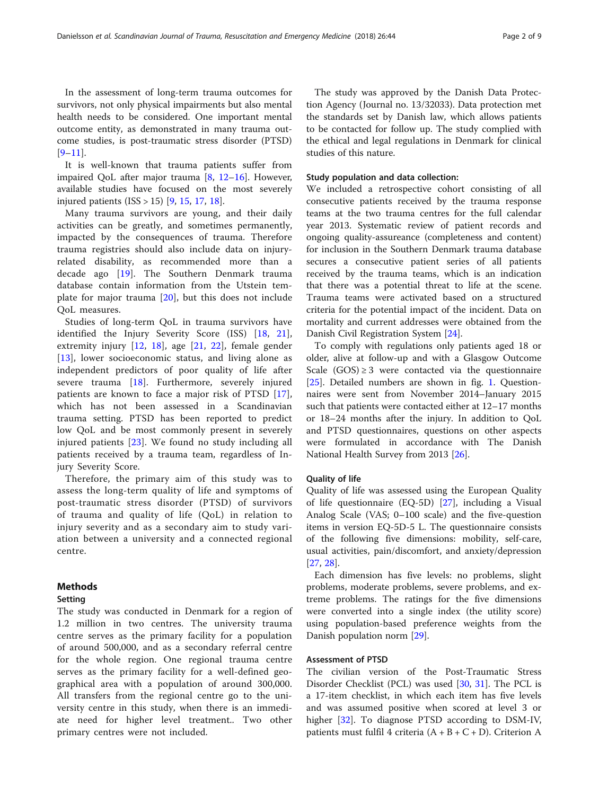In the assessment of long-term trauma outcomes for survivors, not only physical impairments but also mental health needs to be considered. One important mental outcome entity, as demonstrated in many trauma outcome studies, is post-traumatic stress disorder (PTSD)  $[9-11]$  $[9-11]$  $[9-11]$  $[9-11]$ .

It is well-known that trauma patients suffer from impaired QoL after major trauma [\[8](#page-7-0), [12](#page-7-0)–[16](#page-7-0)]. However, available studies have focused on the most severely injured patients (ISS > 15) [[9](#page-7-0), [15](#page-7-0), [17](#page-7-0), [18](#page-7-0)].

Many trauma survivors are young, and their daily activities can be greatly, and sometimes permanently, impacted by the consequences of trauma. Therefore trauma registries should also include data on injuryrelated disability, as recommended more than a decade ago [\[19](#page-7-0)]. The Southern Denmark trauma database contain information from the Utstein template for major trauma [\[20](#page-7-0)], but this does not include QoL measures.

Studies of long-term QoL in trauma survivors have identified the Injury Severity Score (ISS) [[18,](#page-7-0) [21](#page-7-0)], extremity injury [[12,](#page-7-0) [18\]](#page-7-0), age [[21,](#page-7-0) [22\]](#page-7-0), female gender [[13\]](#page-7-0), lower socioeconomic status, and living alone as independent predictors of poor quality of life after severe trauma [\[18](#page-7-0)]. Furthermore, severely injured patients are known to face a major risk of PTSD [\[17](#page-7-0)], which has not been assessed in a Scandinavian trauma setting. PTSD has been reported to predict low QoL and be most commonly present in severely injured patients [[23\]](#page-7-0). We found no study including all patients received by a trauma team, regardless of Injury Severity Score.

Therefore, the primary aim of this study was to assess the long-term quality of life and symptoms of post-traumatic stress disorder (PTSD) of survivors of trauma and quality of life (QoL) in relation to injury severity and as a secondary aim to study variation between a university and a connected regional centre.

## Methods

#### Setting

The study was conducted in Denmark for a region of 1.2 million in two centres. The university trauma centre serves as the primary facility for a population of around 500,000, and as a secondary referral centre for the whole region. One regional trauma centre serves as the primary facility for a well-defined geographical area with a population of around 300,000. All transfers from the regional centre go to the university centre in this study, when there is an immediate need for higher level treatment.. Two other primary centres were not included.

The study was approved by the Danish Data Protection Agency (Journal no. 13/32033). Data protection met the standards set by Danish law, which allows patients to be contacted for follow up. The study complied with the ethical and legal regulations in Denmark for clinical studies of this nature.

## Study population and data collection:

We included a retrospective cohort consisting of all consecutive patients received by the trauma response teams at the two trauma centres for the full calendar year 2013. Systematic review of patient records and ongoing quality-assureance (completeness and content) for inclusion in the Southern Denmark trauma database secures a consecutive patient series of all patients received by the trauma teams, which is an indication that there was a potential threat to life at the scene. Trauma teams were activated based on a structured criteria for the potential impact of the incident. Data on mortality and current addresses were obtained from the Danish Civil Registration System [\[24\]](#page-7-0).

To comply with regulations only patients aged 18 or older, alive at follow-up and with a Glasgow Outcome Scale  $(GOS) \geq 3$  were contacted via the questionnaire [[25\]](#page-7-0). Detailed numbers are shown in fig. [1.](#page-2-0) Questionnaires were sent from November 2014–January 2015 such that patients were contacted either at 12–17 months or 18–24 months after the injury. In addition to QoL and PTSD questionnaires, questions on other aspects were formulated in accordance with The Danish National Health Survey from 2013 [\[26\]](#page-7-0).

### Quality of life

Quality of life was assessed using the European Quality of life questionnaire (EQ-5D) [\[27](#page-7-0)], including a Visual Analog Scale (VAS; 0–100 scale) and the five-question items in version EQ-5D-5 L. The questionnaire consists of the following five dimensions: mobility, self-care, usual activities, pain/discomfort, and anxiety/depression [[27,](#page-7-0) [28\]](#page-7-0).

Each dimension has five levels: no problems, slight problems, moderate problems, severe problems, and extreme problems. The ratings for the five dimensions were converted into a single index (the utility score) using population-based preference weights from the Danish population norm [[29\]](#page-7-0).

## Assessment of PTSD

The civilian version of the Post-Traumatic Stress Disorder Checklist (PCL) was used [[30,](#page-7-0) [31](#page-7-0)]. The PCL is a 17-item checklist, in which each item has five levels and was assumed positive when scored at level 3 or higher [[32](#page-7-0)]. To diagnose PTSD according to DSM-IV, patients must fulfil 4 criteria  $(A + B + C + D)$ . Criterion A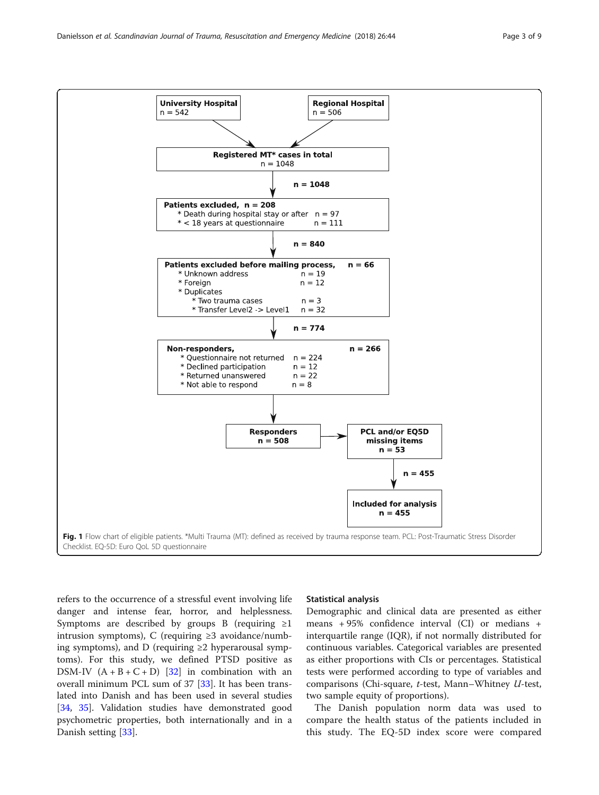<span id="page-2-0"></span>

refers to the occurrence of a stressful event involving life danger and intense fear, horror, and helplessness. Symptoms are described by groups B (requiring  $\geq 1$ intrusion symptoms), C (requiring ≥3 avoidance/numbing symptoms), and D (requiring ≥2 hyperarousal symptoms). For this study, we defined PTSD positive as DSM-IV  $(A + B + C + D)$  [[32\]](#page-7-0) in combination with an overall minimum PCL sum of 37 [\[33](#page-7-0)]. It has been translated into Danish and has been used in several studies [[34,](#page-7-0) [35](#page-7-0)]. Validation studies have demonstrated good psychometric properties, both internationally and in a Danish setting [[33](#page-7-0)].

## Statistical analysis

Demographic and clinical data are presented as either means + 95% confidence interval (CI) or medians + interquartile range (IQR), if not normally distributed for continuous variables. Categorical variables are presented as either proportions with CIs or percentages. Statistical tests were performed according to type of variables and comparisons (Chi-square, t-test, Mann–Whitney U-test, two sample equity of proportions).

The Danish population norm data was used to compare the health status of the patients included in this study. The EQ-5D index score were compared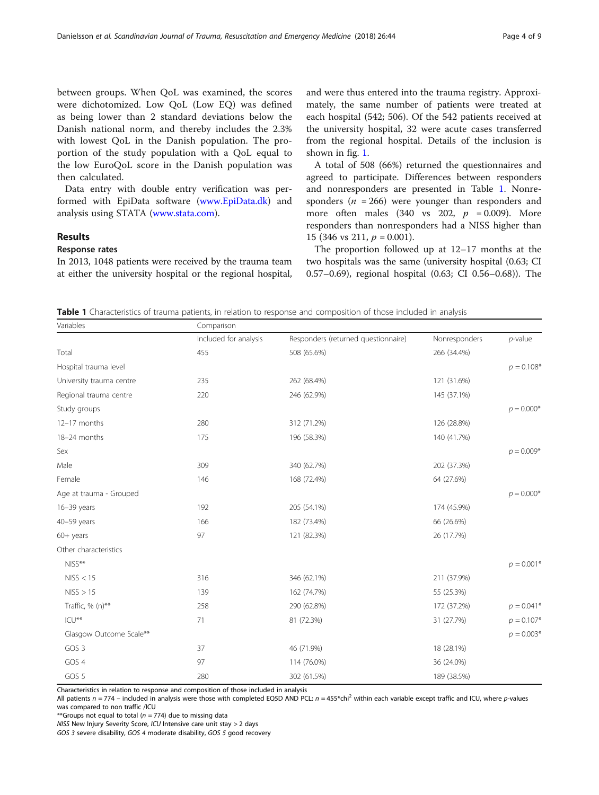between groups. When QoL was examined, the scores were dichotomized. Low QoL (Low EQ) was defined as being lower than 2 standard deviations below the Danish national norm, and thereby includes the 2.3% with lowest QoL in the Danish population. The proportion of the study population with a QoL equal to the low EuroQoL score in the Danish population was then calculated.

Data entry with double entry verification was performed with EpiData software ([www.EpiData.dk](http://www.epidata.dk)) and analysis using STATA ([www.stata.com](http://www.stata.com)).

## Results

## Response rates

In 2013, 1048 patients were received by the trauma team at either the university hospital or the regional hospital, and were thus entered into the trauma registry. Approximately, the same number of patients were treated at each hospital (542; 506). Of the 542 patients received at the university hospital, 32 were acute cases transferred from the regional hospital. Details of the inclusion is shown in fig. [1](#page-2-0).

A total of 508 (66%) returned the questionnaires and agreed to participate. Differences between responders and nonresponders are presented in Table 1. Nonresponders ( $n = 266$ ) were younger than responders and more often males (340 vs 202,  $p = 0.009$ ). More responders than nonresponders had a NISS higher than 15 (346 vs 211,  $p = 0.001$ ).

The proportion followed up at 12–17 months at the two hospitals was the same (university hospital (0.63; CI 0.57–0.69), regional hospital (0.63; CI 0.56–0.68)). The

Table 1 Characteristics of trauma patients, in relation to response and composition of those included in analysis

| Variables                | Comparison            |                                     |               |              |  |
|--------------------------|-----------------------|-------------------------------------|---------------|--------------|--|
|                          | Included for analysis | Responders (returned questionnaire) | Nonresponders | $p$ -value   |  |
| Total                    | 455                   | 508 (65.6%)                         | 266 (34.4%)   |              |  |
| Hospital trauma level    |                       |                                     |               | $p = 0.108*$ |  |
| University trauma centre | 235                   | 262 (68.4%)                         | 121 (31.6%)   |              |  |
| Regional trauma centre   | 220                   | 246 (62.9%)                         | 145 (37.1%)   |              |  |
| Study groups             |                       |                                     |               | $p = 0.000*$ |  |
| 12-17 months             | 280                   | 312 (71.2%)                         | 126 (28.8%)   |              |  |
| 18-24 months             | 175                   | 196 (58.3%)                         | 140 (41.7%)   |              |  |
| Sex                      |                       |                                     |               | $p = 0.009*$ |  |
| Male                     | 309                   | 340 (62.7%)                         | 202 (37.3%)   |              |  |
| Female                   | 146                   | 168 (72.4%)                         | 64 (27.6%)    |              |  |
| Age at trauma - Grouped  |                       |                                     |               | $p = 0.000*$ |  |
| 16-39 years              | 192                   | 205 (54.1%)                         | 174 (45.9%)   |              |  |
| 40-59 years              | 166                   | 182 (73.4%)                         | 66 (26.6%)    |              |  |
| $60+$ years              | 97                    | 121 (82.3%)                         | 26 (17.7%)    |              |  |
| Other characteristics    |                       |                                     |               |              |  |
| NISS**                   |                       |                                     |               | $p = 0.001*$ |  |
| NISS < 15                | 316                   | 346 (62.1%)                         | 211 (37.9%)   |              |  |
| NISS > 15                | 139                   | 162 (74.7%)                         | 55 (25.3%)    |              |  |
| Traffic, % (n)**         | 258                   | 290 (62.8%)                         | 172 (37.2%)   | $p = 0.041*$ |  |
| $ICU**$                  | 71                    | 81 (72.3%)                          | 31 (27.7%)    | $p = 0.107*$ |  |
| Glasgow Outcome Scale**  |                       |                                     |               | $p = 0.003*$ |  |
| GOS 3                    | 37                    | 46 (71.9%)                          | 18 (28.1%)    |              |  |
| GOS 4                    | 97                    | 114 (76.0%)                         | 36 (24.0%)    |              |  |
| GOS 5                    | 280                   | 302 (61.5%)                         | 189 (38.5%)   |              |  |

Characteristics in relation to response and composition of those included in analysis

All patients  $n = 774$  – included in analysis were those with completed EQ5D AND PCL:  $n = 455*$ chi<sup>2</sup> within each variable except traffic and ICU, where p-values was compared to non traffic /ICU

NISS New Injury Severity Score, ICU Intensive care unit stay > 2 days

GOS 3 severe disability, GOS 4 moderate disability, GOS 5 good recovery

<sup>\*\*</sup>Groups not equal to total ( $n = 774$ ) due to missing data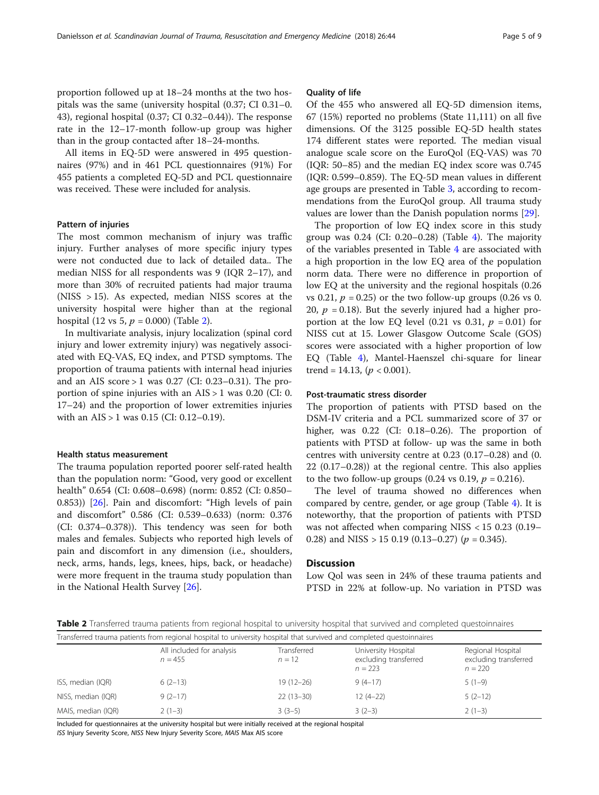proportion followed up at 18–24 months at the two hospitals was the same (university hospital (0.37; CI 0.31–0. 43), regional hospital (0.37; CI 0.32–0.44)). The response rate in the 12–17-month follow-up group was higher than in the group contacted after 18–24-months.

All items in EQ-5D were answered in 495 questionnaires (97%) and in 461 PCL questionnaires (91%) For 455 patients a completed EQ-5D and PCL questionnaire was received. These were included for analysis.

### Pattern of injuries

The most common mechanism of injury was traffic injury. Further analyses of more specific injury types were not conducted due to lack of detailed data.. The median NISS for all respondents was 9 (IQR 2–17), and more than 30% of recruited patients had major trauma (NISS > 15). As expected, median NISS scores at the university hospital were higher than at the regional hospital (12 vs 5,  $p = 0.000$ ) (Table 2).

In multivariate analysis, injury localization (spinal cord injury and lower extremity injury) was negatively associated with EQ-VAS, EQ index, and PTSD symptoms. The proportion of trauma patients with internal head injuries and an AIS score > 1 was 0.27 (CI: 0.23–0.31). The proportion of spine injuries with an AIS > 1 was 0.20 (CI: 0. 17–24) and the proportion of lower extremities injuries with an AIS > 1 was 0.15 (CI: 0.12–0.19).

#### Health status measurement

The trauma population reported poorer self-rated health than the population norm: "Good, very good or excellent health" 0.654 (CI: 0.608–0.698) (norm: 0.852 (CI: 0.850– 0.853)) [[26](#page-7-0)]. Pain and discomfort: "High levels of pain and discomfort" 0.586 (CI: 0.539–0.633) (norm: 0.376 (CI: 0.374–0.378)). This tendency was seen for both males and females. Subjects who reported high levels of pain and discomfort in any dimension (i.e., shoulders, neck, arms, hands, legs, knees, hips, back, or headache) were more frequent in the trauma study population than in the National Health Survey [\[26](#page-7-0)].

## Quality of life

Of the 455 who answered all EQ-5D dimension items, 67 (15%) reported no problems (State 11,111) on all five dimensions. Of the 3125 possible EQ-5D health states 174 different states were reported. The median visual analogue scale score on the EuroQol (EQ-VAS) was 70 (IQR: 50–85) and the median EQ index score was 0.745 (IQR: 0.599–0.859). The EQ-5D mean values in different age groups are presented in Table [3](#page-5-0), according to recommendations from the EuroQol group. All trauma study values are lower than the Danish population norms [[29](#page-7-0)].

The proportion of low EQ index score in this study group was  $0.24$  (CI:  $0.20-0.28$ ) (Table [4\)](#page-6-0). The majority of the variables presented in Table [4](#page-6-0) are associated with a high proportion in the low EQ area of the population norm data. There were no difference in proportion of low EQ at the university and the regional hospitals (0.26 vs 0.21,  $p = 0.25$ ) or the two follow-up groups (0.26 vs 0. 20,  $p = 0.18$ ). But the severly injured had a higher proportion at the low EQ level (0.21 vs 0.31,  $p = 0.01$ ) for NISS cut at 15. Lower Glasgow Outcome Scale (GOS) scores were associated with a higher proportion of low EQ (Table [4\)](#page-6-0), Mantel-Haenszel chi-square for linear trend = 14.13, ( $p < 0.001$ ).

#### Post-traumatic stress disorder

The proportion of patients with PTSD based on the DSM-IV criteria and a PCL summarized score of 37 or higher, was  $0.22$  (CI: 0.18–0.26). The proportion of patients with PTSD at follow- up was the same in both centres with university centre at 0.23 (0.17–0.28) and (0. 22 (0.17–0.28)) at the regional centre. This also applies to the two follow-up groups  $(0.24 \text{ vs } 0.19, p = 0.216)$ .

The level of trauma showed no differences when compared by centre, gender, or age group (Table [4](#page-6-0)). It is noteworthy, that the proportion of patients with PTSD was not affected when comparing NISS < 15 0.23 (0.19– 0.28) and NISS  $> 15$  0.19 (0.13–0.27) ( $p = 0.345$ ).

### **Discussion**

Low Qol was seen in 24% of these trauma patients and PTSD in 22% at follow-up. No variation in PTSD was

Table 2 Transferred trauma patients from regional hospital to university hospital that survived and completed questoinnaires

| Transferred trauma patients from regional hospital to university hospital that survived and completed questoinnaires |                                        |                         |                                                           |                                                         |
|----------------------------------------------------------------------------------------------------------------------|----------------------------------------|-------------------------|-----------------------------------------------------------|---------------------------------------------------------|
|                                                                                                                      | All included for analysis<br>$n = 455$ | Transferred<br>$n = 12$ | University Hospital<br>excluding transferred<br>$n = 223$ | Regional Hospital<br>excluding transferred<br>$n = 220$ |
| ISS, median (IQR)                                                                                                    | $6(2-13)$                              | $19(12 - 26)$           | $9(4-17)$                                                 | $5(1-9)$                                                |
| NISS, median (IQR)                                                                                                   | $9(2-17)$                              | $22(13-30)$             | $12(4-22)$                                                | $5(2-12)$                                               |
| MAIS, median (IQR)                                                                                                   | $2(1-3)$                               | $3(3-5)$                | $3(2-3)$                                                  | $2(1-3)$                                                |

Included for questionnaires at the university hospital but were initially received at the regional hospital ISS Injury Severity Score, NISS New Injury Severity Score, MAIS Max AIS score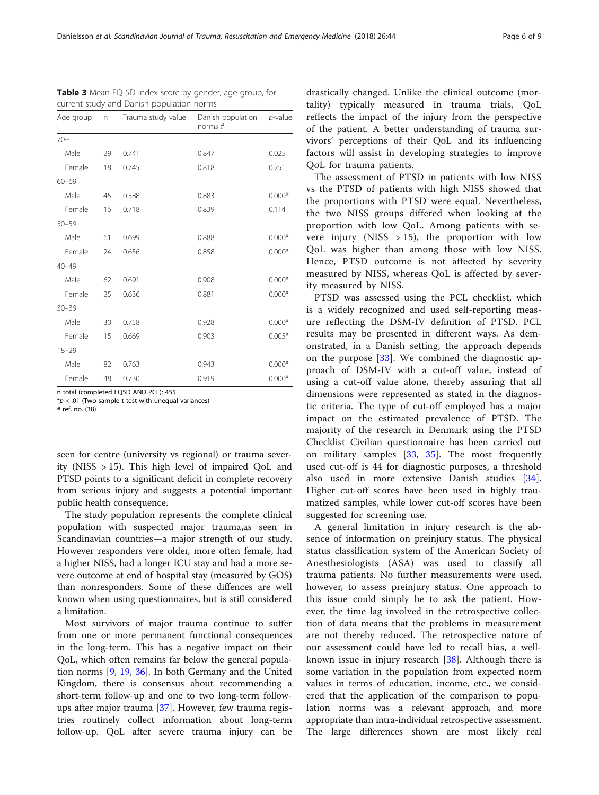| Age group | $\mathsf{n}$ | Trauma study value | Danish population<br>norms # | $p$ -value |
|-----------|--------------|--------------------|------------------------------|------------|
| $70+$     |              |                    |                              |            |
| Male      | 29           | 0.741              | 0.847                        | 0.025      |
| Female    | 18           | 0.745              | 0.818                        | 0.251      |
| $60 - 69$ |              |                    |                              |            |
| Male      | 45           | 0.588              | 0.883                        | $0.000*$   |
| Female    | 16           | 0.718              | 0.839                        | 0.114      |
| $50 - 59$ |              |                    |                              |            |
| Male      | 61           | 0.699              | 0.888                        | $0.000*$   |
| Female    | 24           | 0.656              | 0.858                        | $0.000*$   |
| $40 - 49$ |              |                    |                              |            |
| Male      | 62           | 0.691              | 0.908                        | $0.000*$   |
| Female    | 25           | 0.636              | 0.881                        | $0.000*$   |
| $30 - 39$ |              |                    |                              |            |
| Male      | 30           | 0.758              | 0.928                        | $0.000*$   |
| Female    | 15           | 0.669              | 0.903                        | $0.005*$   |
| $18 - 29$ |              |                    |                              |            |
| Male      | 82           | 0.763              | 0.943                        | $0.000*$   |
| Female    | 48           | 0.730              | 0.919                        | $0.000*$   |

<span id="page-5-0"></span>Table 3 Mean EQ-5D index score by gender, age group, for current study and Danish population norms

n total (completed EQ5D AND PCL): 455

 $*p$  < .01 (Two-sample t test with unequal variances)

 $#$  ref. no.  $(38)$ 

seen for centre (university vs regional) or trauma severity (NISS > 15). This high level of impaired QoL and PTSD points to a significant deficit in complete recovery from serious injury and suggests a potential important public health consequence.

The study population represents the complete clinical population with suspected major trauma,as seen in Scandinavian countries—a major strength of our study. However responders vere older, more often female, had a higher NISS, had a longer ICU stay and had a more severe outcome at end of hospital stay (measured by GOS) than nonresponders. Some of these diffences are well known when using questionnaires, but is still considered a limitation.

Most survivors of major trauma continue to suffer from one or more permanent functional consequences in the long-term. This has a negative impact on their QoL, which often remains far below the general population norms [[9,](#page-7-0) [19](#page-7-0), [36](#page-8-0)]. In both Germany and the United Kingdom, there is consensus about recommending a short-term follow-up and one to two long-term followups after major trauma [\[37](#page-8-0)]. However, few trauma registries routinely collect information about long-term follow-up. QoL after severe trauma injury can be

drastically changed. Unlike the clinical outcome (mortality) typically measured in trauma trials, QoL reflects the impact of the injury from the perspective of the patient. A better understanding of trauma survivors' perceptions of their QoL and its influencing factors will assist in developing strategies to improve QoL for trauma patients.

The assessment of PTSD in patients with low NISS vs the PTSD of patients with high NISS showed that the proportions with PTSD were equal. Nevertheless, the two NISS groups differed when looking at the proportion with low QoL. Among patients with severe injury (NISS  $> 15$ ), the proportion with low QoL was higher than among those with low NISS. Hence, PTSD outcome is not affected by severity measured by NISS, whereas QoL is affected by severity measured by NISS.

PTSD was assessed using the PCL checklist, which is a widely recognized and used self-reporting measure reflecting the DSM-IV definition of PTSD. PCL results may be presented in different ways. As demonstrated, in a Danish setting, the approach depends on the purpose [[33\]](#page-7-0). We combined the diagnostic approach of DSM-IV with a cut-off value, instead of using a cut-off value alone, thereby assuring that all dimensions were represented as stated in the diagnostic criteria. The type of cut-off employed has a major impact on the estimated prevalence of PTSD. The majority of the research in Denmark using the PTSD Checklist Civilian questionnaire has been carried out on military samples [\[33](#page-7-0), [35](#page-7-0)]. The most frequently used cut-off is 44 for diagnostic purposes, a threshold also used in more extensive Danish studies [\[34](#page-7-0)]. Higher cut-off scores have been used in highly traumatized samples, while lower cut-off scores have been suggested for screening use.

A general limitation in injury research is the absence of information on preinjury status. The physical status classification system of the American Society of Anesthesiologists (ASA) was used to classify all trauma patients. No further measurements were used, however, to assess preinjury status. One approach to this issue could simply be to ask the patient. However, the time lag involved in the retrospective collection of data means that the problems in measurement are not thereby reduced. The retrospective nature of our assessment could have led to recall bias, a wellknown issue in injury research  $[38]$  $[38]$ . Although there is some variation in the population from expected norm values in terms of education, income, etc., we considered that the application of the comparison to population norms was a relevant approach, and more appropriate than intra-individual retrospective assessment. The large differences shown are most likely real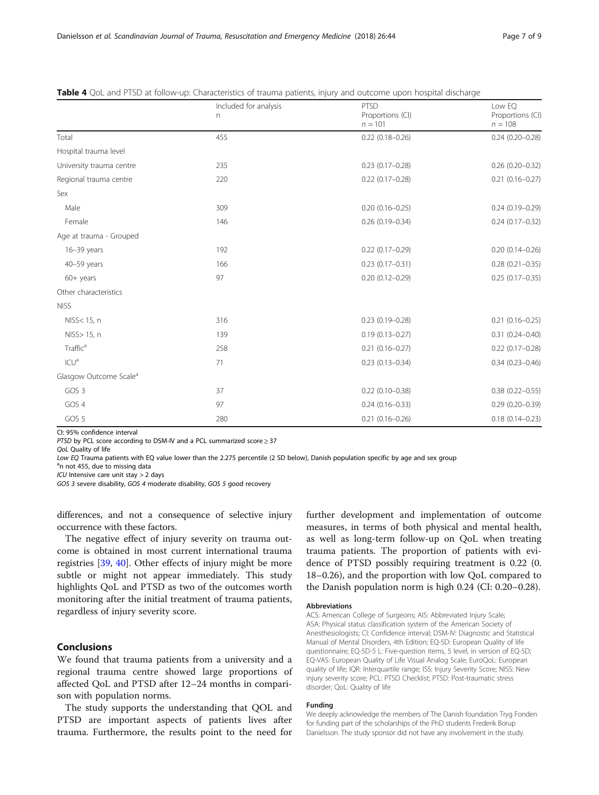|                                    | Included for analysis<br>n | <b>PTSD</b><br>Proportions (CI)<br>$n = 101$ | Low EQ<br>Proportions (CI)<br>$n = 108$ |
|------------------------------------|----------------------------|----------------------------------------------|-----------------------------------------|
|                                    |                            |                                              |                                         |
| Total                              | 455                        | $0.22$ $(0.18 - 0.26)$                       | $0.24(0.20 - 0.28)$                     |
| Hospital trauma level              |                            |                                              |                                         |
| University trauma centre           | 235                        | $0.23$ $(0.17 - 0.28)$                       | $0.26(0.20 - 0.32)$                     |
| Regional trauma centre             | 220                        | $0.22(0.17 - 0.28)$                          | $0.21(0.16 - 0.27)$                     |
| Sex                                |                            |                                              |                                         |
| Male                               | 309                        | $0.20(0.16 - 0.25)$                          | $0.24(0.19 - 0.29)$                     |
| Female                             | 146                        | $0.26(0.19 - 0.34)$                          | $0.24(0.17-0.32)$                       |
| Age at trauma - Grouped            |                            |                                              |                                         |
| 16-39 years                        | 192                        | $0.22$ (0.17-0.29)                           | $0.20(0.14 - 0.26)$                     |
| 40-59 years                        | 166                        | $0.23(0.17-0.31)$                            | $0.28(0.21 - 0.35)$                     |
| $60+$ years                        | 97                         | $0.20(0.12 - 0.29)$                          | $0.25(0.17-0.35)$                       |
| Other characteristics              |                            |                                              |                                         |
| <b>NISS</b>                        |                            |                                              |                                         |
| NISS<15, n                         | 316                        | $0.23$ (0.19-0.28)                           | $0.21(0.16 - 0.25)$                     |
| NISS> 15, n                        | 139                        | $0.19(0.13 - 0.27)$                          | $0.31(0.24 - 0.40)$                     |
| Traffic <sup>a</sup>               | 258                        | $0.21(0.16 - 0.27)$                          | $0.22(0.17 - 0.28)$                     |
| ICU <sup>a</sup>                   | 71                         | $0.23(0.13 - 0.34)$                          | $0.34(0.23 - 0.46)$                     |
| Glasgow Outcome Scale <sup>a</sup> |                            |                                              |                                         |
| GOS <sub>3</sub>                   | 37                         | $0.22$ (0.10-0.38)                           | $0.38(0.22 - 0.55)$                     |
| GOS 4                              | 97                         | $0.24(0.16 - 0.33)$                          | $0.29(0.20 - 0.39)$                     |
| GOS 5                              | 280                        | $0.21(0.16 - 0.26)$                          | $0.18(0.14 - 0.23)$                     |

<span id="page-6-0"></span>Table 4 QoL and PTSD at follow-up: Characteristics of trauma patients, injury and outcome upon hospital discharge

CI: 95% confidence interval

PTSD by PCL score according to DSM-IV and a PCL summarized score  $\geq$  37

QoL Quality of life

Low EQ Trauma patients with EQ value lower than the 2.275 percentile (2 SD below), Danish population specific by age and sex group

<sup>a</sup>n not 455, due to missing data

ICU Intensive care unit stay > 2 days

GOS 3 severe disability, GOS 4 moderate disability, GOS 5 good recovery

differences, and not a consequence of selective injury occurrence with these factors.

The negative effect of injury severity on trauma outcome is obtained in most current international trauma registries [[39,](#page-8-0) [40](#page-8-0)]. Other effects of injury might be more subtle or might not appear immediately. This study highlights QoL and PTSD as two of the outcomes worth monitoring after the initial treatment of trauma patients, regardless of injury severity score.

## Conclusions

We found that trauma patients from a university and a regional trauma centre showed large proportions of affected QoL and PTSD after 12–24 months in comparison with population norms.

The study supports the understanding that QOL and PTSD are important aspects of patients lives after trauma. Furthermore, the results point to the need for

further development and implementation of outcome measures, in terms of both physical and mental health, as well as long-term follow-up on QoL when treating trauma patients. The proportion of patients with evidence of PTSD possibly requiring treatment is 0.22 (0. 18–0.26), and the proportion with low QoL compared to the Danish population norm is high 0.24 (CI: 0.20–0.28).

#### Abbreviations

ACS: American College of Surgeons; AIS: Abbreviated Injury Scale; ASA: Physical status classification system of the American Society of Anesthesiologists; CI: Confidence interval; DSM-IV: Diagnostic and Statistical Manual of Mental Disorders, 4th Edition; EQ-5D: European Quality of life questionnaire; EQ-5D-5 L: Five-question items, 5 level, in version of EQ-5D; EQ-VAS: European Quality of Life Visual Analog Scale; EuroQoL: European quality of life; IQR: Interquartile range; ISS: Injury Severity Score; NISS: New injury severity score; PCL: PTSD Checklist; PTSD: Post-traumatic stress disorder; QoL: Quality of life

#### Funding

We deeply acknowledge the members of The Danish foundation Tryg Fonden for funding part of the scholarships of the PhD students Frederik Borup Danielsson. The study sponsor did not have any involvement in the study.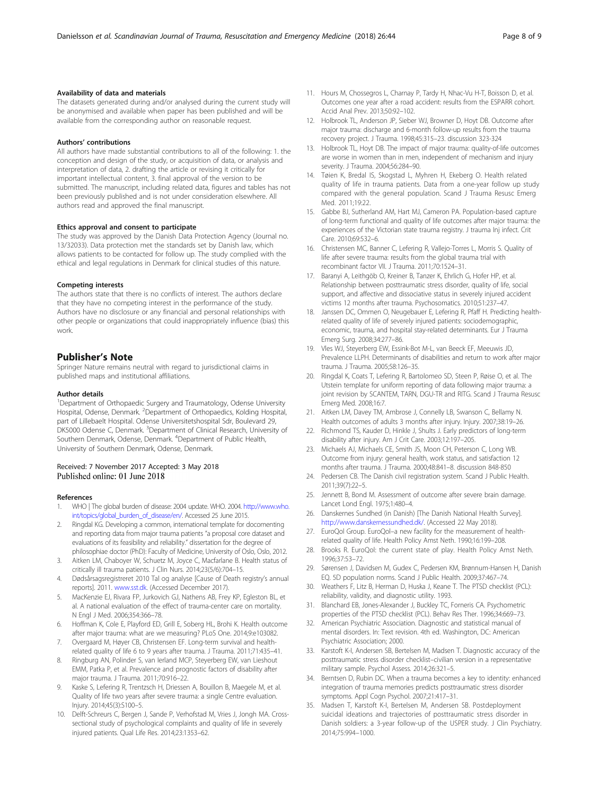### <span id="page-7-0"></span>Availability of data and materials

The datasets generated during and/or analysed during the current study will be anonymised and available when paper has been published and will be available from the corresponding author on reasonable request.

#### Authors' contributions

All authors have made substantial contributions to all of the following: 1. the conception and design of the study, or acquisition of data, or analysis and interpretation of data, 2. drafting the article or revising it critically for important intellectual content, 3. final approval of the version to be submitted. The manuscript, including related data, figures and tables has not been previously published and is not under consideration elsewhere. All authors read and approved the final manuscript.

#### Ethics approval and consent to participate

The study was approved by the Danish Data Protection Agency (Journal no. 13/32033). Data protection met the standards set by Danish law, which allows patients to be contacted for follow up. The study complied with the ethical and legal regulations in Denmark for clinical studies of this nature.

#### Competing interests

The authors state that there is no conflicts of interest. The authors declare that they have no competing interest in the performance of the study. Authors have no disclosure or any financial and personal relationships with other people or organizations that could inappropriately influence (bias) this work.

## Publisher's Note

Springer Nature remains neutral with regard to jurisdictional claims in published maps and institutional affiliations.

#### Author details

<sup>1</sup>Department of Orthopaedic Surgery and Traumatology, Odense University Hospital, Odense, Denmark. <sup>2</sup>Department of Orthopaedics, Kolding Hospital, part of Lillebaelt Hospital. Odense Universitetshospital Sdr, Boulevard 29, DK5000 Odense C, Denmark. <sup>3</sup>Department of Clinical Research, University of Southern Denmark, Odense, Denmark. <sup>4</sup>Department of Public Health, University of Southern Denmark, Odense, Denmark.

#### Received: 7 November 2017 Accepted: 3 May 2018 Published online: 01 June 2018

#### References

- 1. WHO | The global burden of disease: 2004 update. WHO. 2004. [http://www.who.](http://www.who.int/topics/global_burden_of_disease/en/) [int/topics/global\\_burden\\_of\\_disease/en/.](http://www.who.int/topics/global_burden_of_disease/en/) Accessed 25 June 2015.
- 2. Ringdal KG. Developing a common, international template for docomenting and reporting data from major trauma patients "a proposal core dataset and evaluations of its feasibility and reliability." dissertation for the degree of philosophiae doctor (PhD): Faculty of Medicine, University of Oslo, Oslo, 2012.
- 3. Aitken LM, Chaboyer W, Schuetz M, Joyce C, Macfarlane B. Health status of critically ill trauma patients. J Clin Nurs. 2014;23(5/6):704–15.
- 4. Dødsårsagsregistreret 2010 Tal og analyse [Cause of Death registry's annual reports]. 2011. [www.sst.dk.](https://www.sst.dk) (Accessed December 2017).
- 5. MacKenzie EJ, Rivara FP, Jurkovich GJ, Nathens AB, Frey KP, Egleston BL, et al. A national evaluation of the effect of trauma-center care on mortality. N Engl J Med. 2006;354:366–78.
- 6. Hoffman K, Cole E, Playford ED, Grill E, Soberg HL, Brohi K. Health outcome after major trauma: what are we measuring? PLoS One. 2014;9:e103082.
- 7. Overgaard M, Høyer CB, Christensen EF. Long-term survival and healthrelated quality of life 6 to 9 years after trauma. J Trauma. 2011;71:435–41.
- 8. Ringburg AN, Polinder S, van Ierland MCP, Steyerberg EW, van Lieshout EMM, Patka P, et al. Prevalence and prognostic factors of disability after major trauma. J Trauma. 2011;70:916–22.
- Kaske S, Lefering R, Trentzsch H, Driessen A, Bouillon B, Maegele M, et al. Quality of life two years after severe trauma: a single Centre evaluation. Injury. 2014;45(3):S100–5.
- 10. Delft-Schreurs C, Bergen J, Sande P, Verhofstad M, Vries J, Jongh MA. Crosssectional study of psychological complaints and quality of life in severely injured patients. Qual Life Res. 2014;23:1353–62.
- 11. Hours M, Chossegros L, Charnay P, Tardy H, Nhac-Vu H-T, Boisson D, et al. Outcomes one year after a road accident: results from the ESPARR cohort. Accid Anal Prev. 2013;50:92–102.
- 12. Holbrook TL, Anderson JP, Sieber WJ, Browner D, Hoyt DB. Outcome after major trauma: discharge and 6-month follow-up results from the trauma recovery project. J Trauma. 1998;45:315–23. discussion 323-324
- 13. Holbrook TL, Hoyt DB. The impact of major trauma: quality-of-life outcomes are worse in women than in men, independent of mechanism and injury severity. J Trauma. 2004;56:284–90.
- 14. Tøien K, Bredal IS, Skogstad L, Myhren H, Ekeberg O. Health related quality of life in trauma patients. Data from a one-year follow up study compared with the general population. Scand J Trauma Resusc Emerg Med. 2011;19:22.
- 15. Gabbe BJ, Sutherland AM, Hart MJ, Cameron PA. Population-based capture of long-term functional and quality of life outcomes after major trauma: the experiences of the Victorian state trauma registry. J trauma Inj infect. Crit Care. 2010;69:532–6.
- 16. Christensen MC, Banner C, Lefering R, Vallejo-Torres L, Morris S. Quality of life after severe trauma: results from the global trauma trial with recombinant factor VII. J Trauma. 2011;70:1524–31.
- 17. Baranyi A, Leithgöb O, Kreiner B, Tanzer K, Ehrlich G, Hofer HP, et al. Relationship between posttraumatic stress disorder, quality of life, social support, and affective and dissociative status in severely injured accident victims 12 months after trauma. Psychosomatics. 2010;51:237–47.
- 18. Janssen DC, Ommen O, Neugebauer E, Lefering R, Pfaff H. Predicting healthrelated quality of life of severely injured patients: sociodemographic, economic, trauma, and hospital stay-related determinants. Eur J Trauma Emerg Surg. 2008;34:277–86.
- 19. Vles WJ, Steyerberg EW, Essink-Bot M-L, van Beeck EF, Meeuwis JD, Prevalence LLPH. Determinants of disabilities and return to work after major trauma. J Trauma. 2005;58:126–35.
- 20. Ringdal K, Coats T, Lefering R, Bartolomeo SD, Steen P, Røise O, et al. The Utstein template for uniform reporting of data following major trauma: a joint revision by SCANTEM, TARN, DGU-TR and RITG. Scand J Trauma Resusc Emerg Med. 2008;16:7.
- 21. Aitken LM, Davey TM, Ambrose J, Connelly LB, Swanson C, Bellamy N. Health outcomes of adults 3 months after injury. Injury. 2007;38:19–26.
- 22. Richmond TS, Kauder D, Hinkle J, Shults J. Early predictors of long-term disability after injury. Am J Crit Care. 2003;12:197–205.
- 23. Michaels AJ, Michaels CE, Smith JS, Moon CH, Peterson C, Long WB. Outcome from injury: general health, work status, and satisfaction 12 months after trauma. J Trauma. 2000;48:841–8. discussion 848-850
- 24. Pedersen CB. The Danish civil registration system. Scand J Public Health. 2011;39(7):22–5.
- 25. Jennett B, Bond M. Assessment of outcome after severe brain damage. Lancet Lond Engl. 1975;1:480–4.
- 26. Danskernes Sundhed (in Danish) [The Danish National Health Survey]. <http://www.danskernessundhed.dk/>. (Accessed 22 May 2018).
- 27. EuroQol Group. EuroQol–a new facility for the measurement of healthrelated quality of life. Health Policy Amst Neth. 1990;16:199–208.
- 28. Brooks R. EuroQol: the current state of play. Health Policy Amst Neth. 1996;37:53–72.
- 29. Sørensen J, Davidsen M, Gudex C, Pedersen KM, Brønnum-Hansen H, Danish EQ. 5D population norms. Scand J Public Health. 2009;37:467–74.
- 30. Weathers F, Litz B, Herman D, Huska J, Keane T. The PTSD checklist (PCL): reliability, validity, and diagnostic utility. 1993.
- 31. Blanchard EB, Jones-Alexander J, Buckley TC, Forneris CA. Psychometric properties of the PTSD checklist (PCL). Behav Res Ther. 1996;34:669–73.
- 32. American Psychiatric Association. Diagnostic and statistical manual of mental disorders. In: Text revision. 4th ed. Washington, DC: American Psychiatric Association; 2000.
- 33. Karstoft K-I, Andersen SB, Bertelsen M, Madsen T. Diagnostic accuracy of the posttraumatic stress disorder checklist–civilian version in a representative military sample. Psychol Assess. 2014;26:321–5.
- 34. Berntsen D, Rubin DC. When a trauma becomes a key to identity: enhanced integration of trauma memories predicts posttraumatic stress disorder symptoms. Appl Cogn Psychol. 2007;21:417–31.
- 35. Madsen T, Karstoft K-I, Bertelsen M, Andersen SB. Postdeployment suicidal ideations and trajectories of posttraumatic stress disorder in Danish soldiers: a 3-year follow-up of the USPER study. J Clin Psychiatry. 2014;75:994–1000.